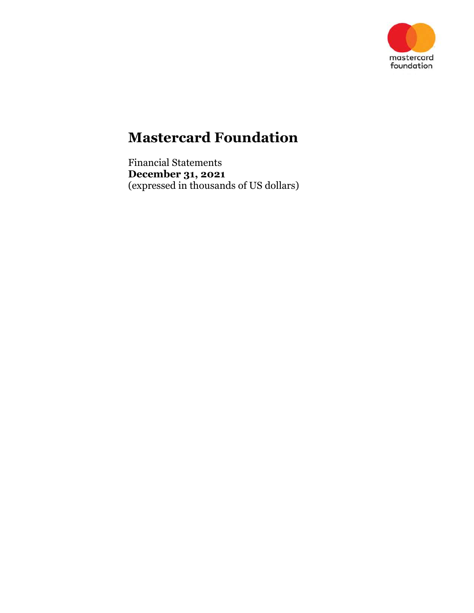

Financial Statements December 31, 2021 (expressed in thousands of US dollars)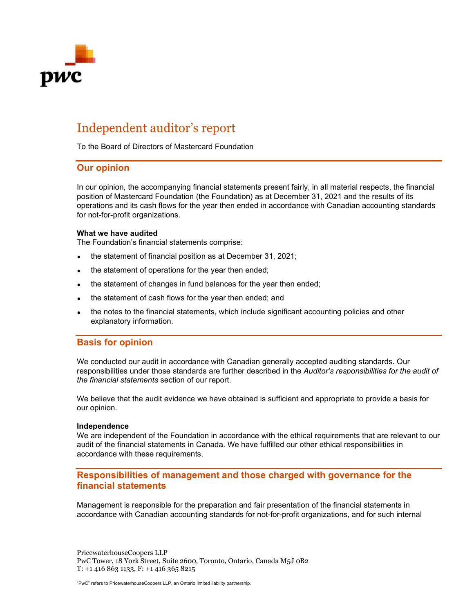

# Independent auditor's report

To the Board of Directors of Mastercard Foundation

### Our opinion

In our opinion, the accompanying financial statements present fairly, in all material respects, the financial position of Mastercard Foundation (the Foundation) as at December 31, 2021 and the results of its operations and its cash flows for the year then ended in accordance with Canadian accounting standards for not-for-profit organizations.

#### What we have audited

The Foundation's financial statements comprise:

- the statement of financial position as at December 31, 2021;
- the statement of operations for the year then ended;
- the statement of changes in fund balances for the year then ended;
- the statement of cash flows for the year then ended; and
- the notes to the financial statements, which include significant accounting policies and other explanatory information.

### Basis for opinion

We conducted our audit in accordance with Canadian generally accepted auditing standards. Our responsibilities under those standards are further described in the Auditor's responsibilities for the audit of the financial statements section of our report.

We believe that the audit evidence we have obtained is sufficient and appropriate to provide a basis for our opinion.

#### Independence

We are independent of the Foundation in accordance with the ethical requirements that are relevant to our audit of the financial statements in Canada. We have fulfilled our other ethical responsibilities in accordance with these requirements.

### Responsibilities of management and those charged with governance for the financial statements

Management is responsible for the preparation and fair presentation of the financial statements in accordance with Canadian accounting standards for not-for-profit organizations, and for such internal

PricewaterhouseCoopers LLP PwC Tower, 18 York Street, Suite 2600, Toronto, Ontario, Canada M5J 0B2 T: +1 416 863 1133, F: +1 416 365 8215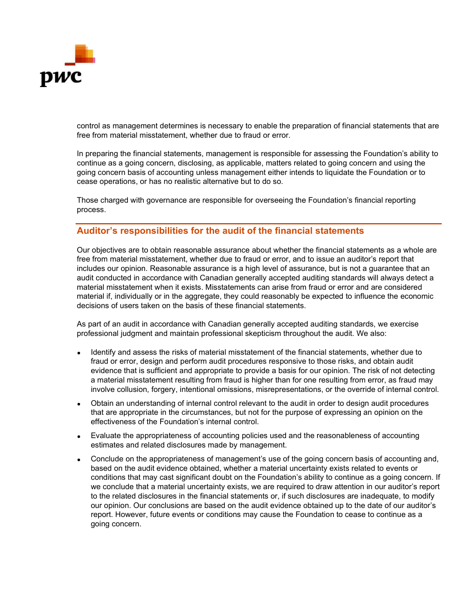

control as management determines is necessary to enable the preparation of financial statements that are free from material misstatement, whether due to fraud or error.

In preparing the financial statements, management is responsible for assessing the Foundation's ability to continue as a going concern, disclosing, as applicable, matters related to going concern and using the going concern basis of accounting unless management either intends to liquidate the Foundation or to cease operations, or has no realistic alternative but to do so.

Those charged with governance are responsible for overseeing the Foundation's financial reporting process.

### Auditor's responsibilities for the audit of the financial statements

Our objectives are to obtain reasonable assurance about whether the financial statements as a whole are free from material misstatement, whether due to fraud or error, and to issue an auditor's report that includes our opinion. Reasonable assurance is a high level of assurance, but is not a guarantee that an audit conducted in accordance with Canadian generally accepted auditing standards will always detect a material misstatement when it exists. Misstatements can arise from fraud or error and are considered material if, individually or in the aggregate, they could reasonably be expected to influence the economic decisions of users taken on the basis of these financial statements.

As part of an audit in accordance with Canadian generally accepted auditing standards, we exercise professional judgment and maintain professional skepticism throughout the audit. We also:

- Identify and assess the risks of material misstatement of the financial statements, whether due to fraud or error, design and perform audit procedures responsive to those risks, and obtain audit evidence that is sufficient and appropriate to provide a basis for our opinion. The risk of not detecting a material misstatement resulting from fraud is higher than for one resulting from error, as fraud may involve collusion, forgery, intentional omissions, misrepresentations, or the override of internal control.
- Obtain an understanding of internal control relevant to the audit in order to design audit procedures that are appropriate in the circumstances, but not for the purpose of expressing an opinion on the effectiveness of the Foundation's internal control.
- Evaluate the appropriateness of accounting policies used and the reasonableness of accounting estimates and related disclosures made by management.
- Conclude on the appropriateness of management's use of the going concern basis of accounting and, based on the audit evidence obtained, whether a material uncertainty exists related to events or conditions that may cast significant doubt on the Foundation's ability to continue as a going concern. If we conclude that a material uncertainty exists, we are required to draw attention in our auditor's report to the related disclosures in the financial statements or, if such disclosures are inadequate, to modify our opinion. Our conclusions are based on the audit evidence obtained up to the date of our auditor's report. However, future events or conditions may cause the Foundation to cease to continue as a going concern.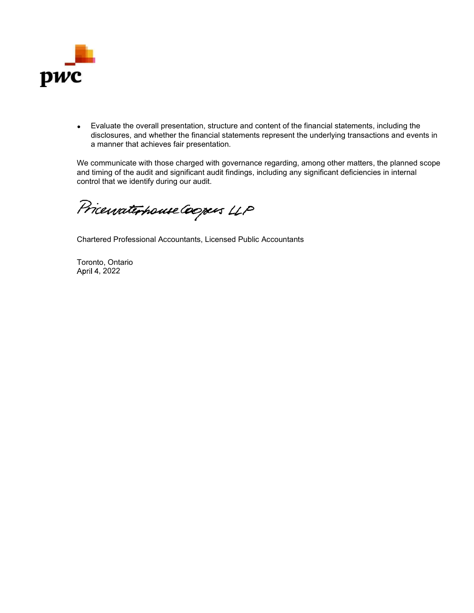

Evaluate the overall presentation, structure and content of the financial statements, including the disclosures, and whether the financial statements represent the underlying transactions and events in a manner that achieves fair presentation. raluate the overall presentation, structure and content of the financial statem<br>closures, and whether the financial statements represent the underlying tra<br>manner that achieves fair presentation.<br>mmunicate with those charg

We communicate with those charged with governance regarding, among other matters, the planned scope and timing of the audit and significant audit findings, including any significant deficiencies in internal control that we identify during our audit.

Chartered Professional Accountants, Licensed Public Accountants

Toronto, Ontario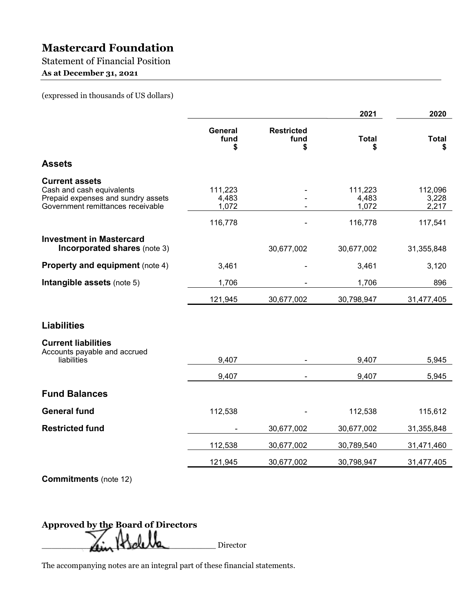Statement of Financial Position

As at December 31, 2021

(expressed in thousands of US dollars)

|                                                                                                                               |                              |                                 | 2021                      | 2020                      |
|-------------------------------------------------------------------------------------------------------------------------------|------------------------------|---------------------------------|---------------------------|---------------------------|
|                                                                                                                               | <b>General</b><br>fund<br>\$ | <b>Restricted</b><br>fund<br>\$ | <b>Total</b><br>S         | <b>Total</b><br>S         |
| <b>Assets</b>                                                                                                                 |                              |                                 |                           |                           |
| <b>Current assets</b><br>Cash and cash equivalents<br>Prepaid expenses and sundry assets<br>Government remittances receivable | 111,223<br>4,483<br>1,072    |                                 | 111,223<br>4,483<br>1,072 | 112,096<br>3,228<br>2,217 |
|                                                                                                                               | 116,778                      |                                 | 116,778                   | 117,541                   |
| <b>Investment in Mastercard</b><br>Incorporated shares (note 3)                                                               |                              | 30,677,002                      | 30,677,002                | 31,355,848                |
| <b>Property and equipment (note 4)</b>                                                                                        | 3,461                        |                                 | 3,461                     | 3,120                     |
| Intangible assets (note 5)                                                                                                    | 1,706                        |                                 | 1,706                     | 896                       |
|                                                                                                                               | 121,945                      | 30,677,002                      | 30,798,947                | 31,477,405                |
| <b>Liabilities</b>                                                                                                            |                              |                                 |                           |                           |
| <b>Current liabilities</b><br>Accounts payable and accrued<br>liabilities                                                     | 9,407                        |                                 | 9,407                     | 5,945                     |
|                                                                                                                               | 9,407                        |                                 | 9,407                     | 5,945                     |
| <b>Fund Balances</b>                                                                                                          |                              |                                 |                           |                           |
| <b>General fund</b>                                                                                                           | 112,538                      |                                 | 112,538                   | 115,612                   |
| <b>Restricted fund</b>                                                                                                        |                              | 30,677,002                      | 30,677,002                | 31,355,848                |
|                                                                                                                               | 112,538                      | 30,677,002                      | 30,789,540                | 31,471,460                |
|                                                                                                                               | 121,945                      | 30,677,002                      | 30,798,947                | 31,477,405                |
|                                                                                                                               |                              |                                 |                           |                           |

Commitments (note 12)

Approved by the Board of Directors \_\_\_\_\_\_\_\_\_\_\_\_\_\_\_\_\_\_\_\_\_\_\_\_\_\_\_\_\_\_\_\_\_\_\_ Director

The accompanying notes are an integral part of these financial statements.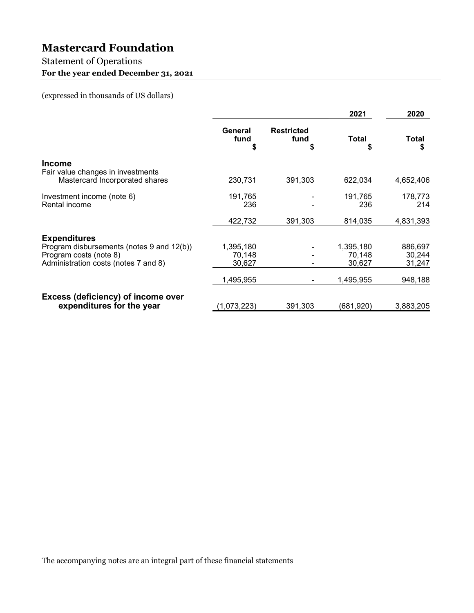## Statement of Operations For the year ended December 31, 2021

(expressed in thousands of US dollars)

|                       |                                           | 2021              | 2020                                      |
|-----------------------|-------------------------------------------|-------------------|-------------------------------------------|
| General<br>fund<br>\$ | <b>Restricted</b><br>fund<br>S            | <b>Total</b><br>S | <b>Total</b><br>S                         |
|                       |                                           |                   |                                           |
|                       |                                           |                   |                                           |
|                       |                                           |                   | 4,652,406                                 |
|                       |                                           |                   | 178,773                                   |
| 236                   |                                           | 236               | 214                                       |
| 422,732               | 391,303                                   | 814,035           | 4,831,393                                 |
|                       |                                           |                   |                                           |
|                       |                                           |                   | 886,697                                   |
|                       |                                           |                   | 30,244                                    |
| 30,627                |                                           | 30,627            | 31,247                                    |
| ,495,955              |                                           | 1,495,955         | 948,188                                   |
|                       |                                           |                   |                                           |
| (1,073,223)           | 391,303                                   | (681, 920)        | 3,883,205                                 |
|                       | 230,731<br>191,765<br>1,395,180<br>70,148 | 391,303           | 622,034<br>191,765<br>1,395,180<br>70,148 |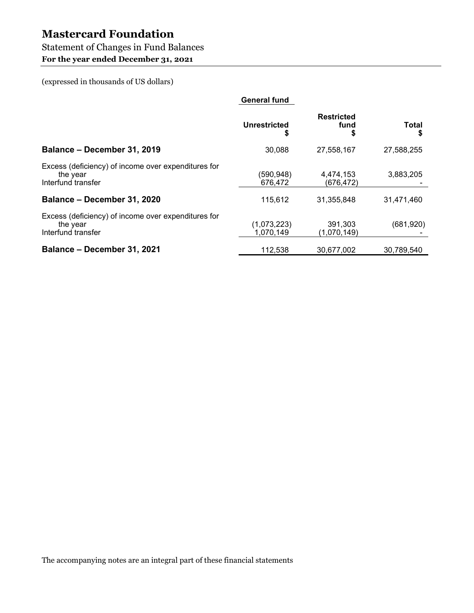## Statement of Changes in Fund Balances

For the year ended December 31, 2021

(expressed in thousands of US dollars)

|                                                                                       | <b>General fund</b>      |                           |            |
|---------------------------------------------------------------------------------------|--------------------------|---------------------------|------------|
|                                                                                       | <b>Unrestricted</b><br>J | <b>Restricted</b><br>fund | Total<br>S |
| Balance - December 31, 2019                                                           | 30,088                   | 27,558,167                | 27,588,255 |
| Excess (deficiency) of income over expenditures for<br>the year<br>Interfund transfer | (590, 948)<br>676,472    | 4,474,153<br>(676, 472)   | 3,883,205  |
| Balance - December 31, 2020                                                           | 115,612                  | 31,355,848                | 31,471,460 |
| Excess (deficiency) of income over expenditures for<br>the year<br>Interfund transfer | (1,073,223)<br>1,070,149 | 391,303<br>(1,070,149)    | (681,920)  |
| Balance - December 31, 2021                                                           | 112,538                  | 30,677,002                | 30,789,540 |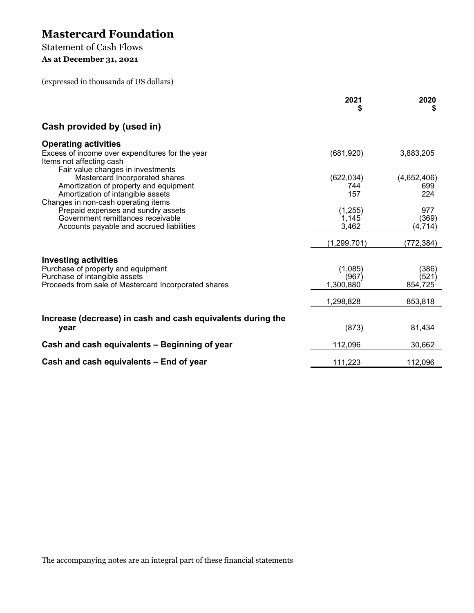## Statement of Cash Flows

As at December 31, 2021

(expressed in thousands of US dollars)

|                                                                                                                  | 2021          | 2020        |
|------------------------------------------------------------------------------------------------------------------|---------------|-------------|
| Cash provided by (used in)                                                                                       |               |             |
| <b>Operating activities</b>                                                                                      |               |             |
| Excess of income over expenditures for the year<br>Items not affecting cash<br>Fair value changes in investments | (681,920)     | 3,883,205   |
| Mastercard Incorporated shares                                                                                   | (622, 034)    | (4,652,406) |
| Amortization of property and equipment                                                                           | 744           | 699         |
| Amortization of intangible assets                                                                                | 157           | 224         |
| Changes in non-cash operating items<br>Prepaid expenses and sundry assets                                        | (1,255)       | 977         |
| Government remittances receivable                                                                                | 1,145         | (369)       |
| Accounts payable and accrued liabilities                                                                         | 3,462         | (4, 714)    |
|                                                                                                                  |               |             |
|                                                                                                                  | (1, 299, 701) | (772, 384)  |
| <b>Investing activities</b>                                                                                      |               |             |
| Purchase of property and equipment                                                                               | (1,085)       | (386)       |
| Purchase of intangible assets                                                                                    | (967)         | (521)       |
| Proceeds from sale of Mastercard Incorporated shares                                                             | 1,300,880     | 854,725     |
|                                                                                                                  | 1,298,828     | 853,818     |
| Increase (decrease) in cash and cash equivalents during the                                                      |               |             |
| year                                                                                                             | (873)         | 81,434      |
| Cash and cash equivalents - Beginning of year                                                                    | 112,096       | 30,662      |
| Cash and cash equivalents - End of year                                                                          | 111,223       | 112,096     |

The accompanying notes are an integral part of these financial statements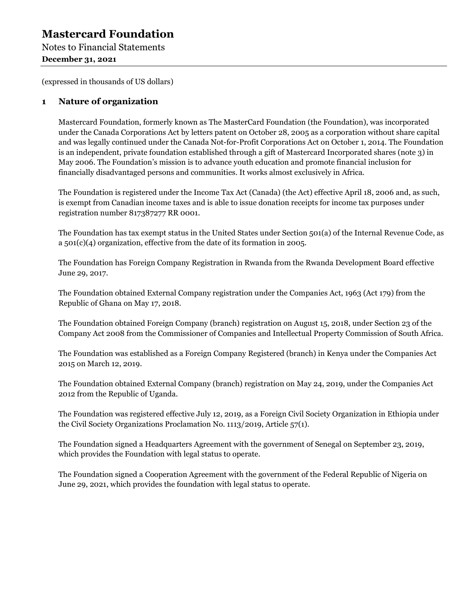Notes to Financial Statements December 31, 2021

(expressed in thousands of US dollars)

**Mastercard Foundation**<br>
Notes to Financial Statements<br>
December 31, 2021<br>
(expressed in thousands of US dollars)<br> **1** Nature of organization<br>
Mastercard Foundation, formerly known as The MasterCard Foundation (t<br>
under th Mastercard Foundation, formerly known as The MasterCard Foundation (the Foundation), was incorporated under the Canada Corporations Act by letters patent on October 28, 2005 as a corporation without share capital and was legally continued under the Canada Not-for-Profit Corporations Act on October 1, 2014. The Foundation is an independent, private foundation established through a gift of Mastercard Incorporated shares (note 3) in May 2006. The Foundation's mission is to advance youth education and promote financial inclusion for financially disadvantaged persons and communities. It works almost exclusively in Africa.

The Foundation is registered under the Income Tax Act (Canada) (the Act) effective April 18, 2006 and, as such, is exempt from Canadian income taxes and is able to issue donation receipts for income tax purposes under registration number 817387277 RR 0001.

The Foundation has tax exempt status in the United States under Section 501(a) of the Internal Revenue Code, as a 501(c)(4) organization, effective from the date of its formation in 2005.

The Foundation has Foreign Company Registration in Rwanda from the Rwanda Development Board effective June 29, 2017.

The Foundation obtained External Company registration under the Companies Act, 1963 (Act 179) from the Republic of Ghana on May 17, 2018.

The Foundation obtained Foreign Company (branch) registration on August 15, 2018, under Section 23 of the Company Act 2008 from the Commissioner of Companies and Intellectual Property Commission of South Africa.

The Foundation was established as a Foreign Company Registered (branch) in Kenya under the Companies Act 2015 on March 12, 2019.

The Foundation obtained External Company (branch) registration on May 24, 2019, under the Companies Act 2012 from the Republic of Uganda.

The Foundation was registered effective July 12, 2019, as a Foreign Civil Society Organization in Ethiopia under the Civil Society Organizations Proclamation No. 1113/2019, Article 57(1).

The Foundation signed a Headquarters Agreement with the government of Senegal on September 23, 2019, which provides the Foundation with legal status to operate.

The Foundation signed a Cooperation Agreement with the government of the Federal Republic of Nigeria on June 29, 2021, which provides the foundation with legal status to operate.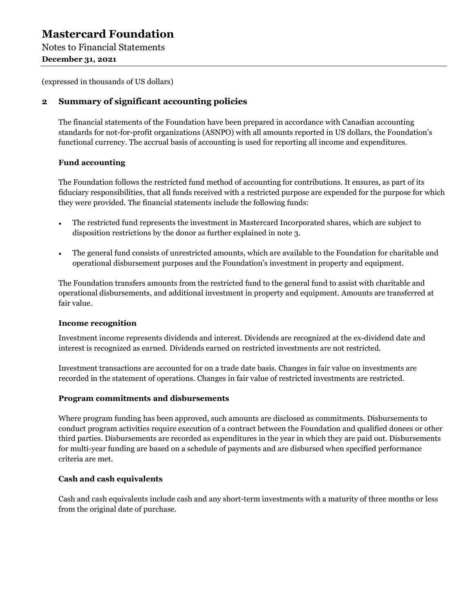Notes to Financial Statements December 31, 2021

(expressed in thousands of US dollars)

Mastercard Foundation<br>
Notes to Financial Statements<br>
December 31, 2021<br>
(expressed in thousands of US dollars)<br>
2 Summary of significant accounting policies<br>
The financial statements of the Foundation have been prepared i The financial statements of the Foundation have been prepared in accordance with Canadian accounting standards for not-for-profit organizations (ASNPO) with all amounts reported in US dollars, the Foundation's functional currency. The accrual basis of accounting is used for reporting all income and expenditures.

### Fund accounting

The Foundation follows the restricted fund method of accounting for contributions. It ensures, as part of its fiduciary responsibilities, that all funds received with a restricted purpose are expended for the purpose for which they were provided. The financial statements include the following funds:

- The restricted fund represents the investment in Mastercard Incorporated shares, which are subject to  $\bullet$ disposition restrictions by the donor as further explained in note 3.
- $\bullet$ The general fund consists of unrestricted amounts, which are available to the Foundation for charitable and operational disbursement purposes and the Foundation's investment in property and equipment.

The Foundation transfers amounts from the restricted fund to the general fund to assist with charitable and operational disbursements, and additional investment in property and equipment. Amounts are transferred at fair value.

### Income recognition

Investment income represents dividends and interest. Dividends are recognized at the ex-dividend date and interest is recognized as earned. Dividends earned on restricted investments are not restricted.

Investment transactions are accounted for on a trade date basis. Changes in fair value on investments are recorded in the statement of operations. Changes in fair value of restricted investments are restricted.

### Program commitments and disbursements

Where program funding has been approved, such amounts are disclosed as commitments. Disbursements to conduct program activities require execution of a contract between the Foundation and qualified donees or other third parties. Disbursements are recorded as expenditures in the year in which they are paid out. Disbursements for multi-year funding are based on a schedule of payments and are disbursed when specified performance criteria are met.

### Cash and cash equivalents

Cash and cash equivalents include cash and any short-term investments with a maturity of three months or less from the original date of purchase.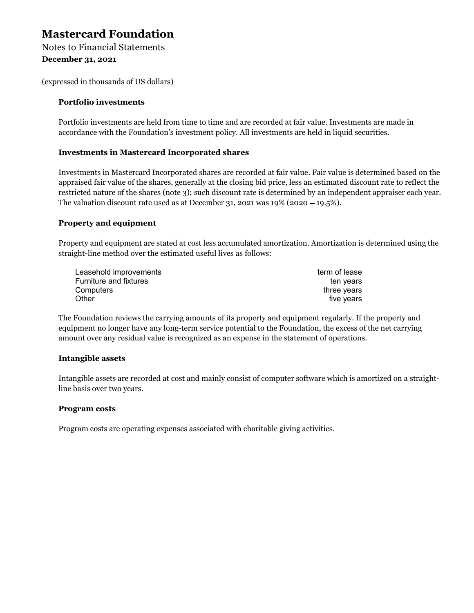December 31, 2021

(expressed in thousands of US dollars)

#### Portfolio investments

Portfolio investments are held from time to time and are recorded at fair value. Investments are made in accordance with the Foundation's investment policy. All investments are held in liquid securities.

#### Investments in Mastercard Incorporated shares

Investments in Mastercard Incorporated shares are recorded at fair value. Fair value is determined based on the appraised fair value of the shares, generally at the closing bid price, less an estimated discount rate to reflect the restricted nature of the shares (note 3); such discount rate is determined by an independent appraiser each year. The valuation discount rate used as at December 31, 2021 was  $19\%$  (2020 – 19.5%).

#### Property and equipment

Property and equipment are stated at cost less accumulated amortization. Amortization is determined using the straight-line method over the estimated useful lives as follows:

| Leasehold improvements | term of lease |  |
|------------------------|---------------|--|
| Furniture and fixtures | ten years     |  |
| Computers              | three years   |  |
| Other                  | five vears    |  |

The Foundation reviews the carrying amounts of its property and equipment regularly. If the property and equipment no longer have any long-term service potential to the Foundation, the excess of the net carrying amount over any residual value is recognized as an expense in the statement of operations.

#### Intangible assets

Intangible assets are recorded at cost and mainly consist of computer software which is amortized on a straightline basis over two years.

#### Program costs

Program costs are operating expenses associated with charitable giving activities.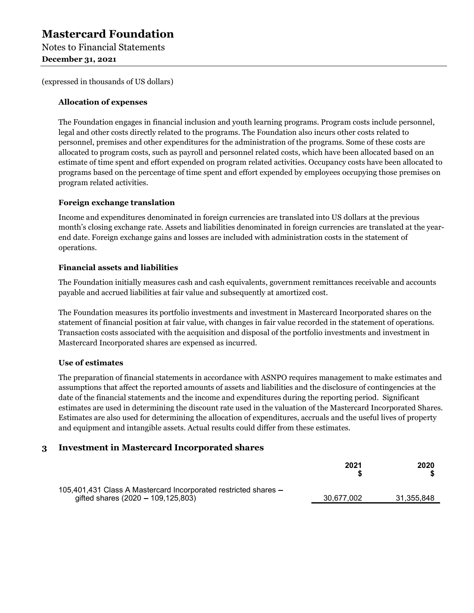Notes to Financial Statements December 31, 2021

(expressed in thousands of US dollars)

### Allocation of expenses

The Foundation engages in financial inclusion and youth learning programs. Program costs include personnel, legal and other costs directly related to the programs. The Foundation also incurs other costs related to personnel, premises and other expenditures for the administration of the programs. Some of these costs are allocated to program costs, such as payroll and personnel related costs, which have been allocated based on an estimate of time spent and effort expended on program related activities. Occupancy costs have been allocated to programs based on the percentage of time spent and effort expended by employees occupying those premises on program related activities.

### Foreign exchange translation

Income and expenditures denominated in foreign currencies are translated into US dollars at the previous month's closing exchange rate. Assets and liabilities denominated in foreign currencies are translated at the yearend date. Foreign exchange gains and losses are included with administration costs in the statement of operations.

### Financial assets and liabilities

The Foundation initially measures cash and cash equivalents, government remittances receivable and accounts payable and accrued liabilities at fair value and subsequently at amortized cost.

The Foundation measures its portfolio investments and investment in Mastercard Incorporated shares on the statement of financial position at fair value, with changes in fair value recorded in the statement of operations. Transaction costs associated with the acquisition and disposal of the portfolio investments and investment in Mastercard Incorporated shares are expensed as incurred.

### Use of estimates

The preparation of financial statements in accordance with ASNPO requires management to make estimates and assumptions that affect the reported amounts of assets and liabilities and the disclosure of contingencies at the date of the financial statements and the income and expenditures during the reporting period. Significant estimates are used in determining the discount rate used in the valuation of the Mastercard Incorporated Shares. Estimates are also used for determining the allocation of expenditures, accruals and the useful lives of property and equipment and intangible assets. Actual results could differ from these estimates. operations.<br> **Financial assets and liabilities**<br>
The Foundation initially measures cash and cash equivalents, government remi<br>
payable and accrued liabilities at fair value and subsequently at amortized cost.<br>
The Foundat

|                                                                                                           | 2021       | 2020       |  |
|-----------------------------------------------------------------------------------------------------------|------------|------------|--|
| 105,401,431 Class A Mastercard Incorporated restricted shares -<br>gifted shares $(2020 - 109, 125, 803)$ | 30,677,002 | 31,355,848 |  |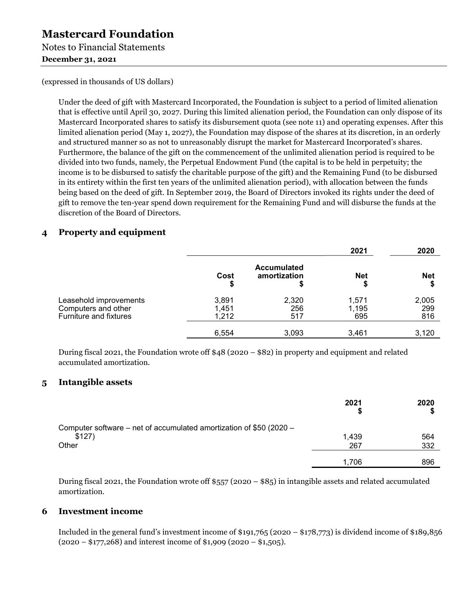Notes to Financial Statements

December 31, 2021

(expressed in thousands of US dollars)

Under the deed of gift with Mastercard Incorporated, the Foundation is subject to a period of limited alienation that is effective until April 30, 2027. During this limited alienation period, the Foundation can only dispose of its Mastercard Incorporated shares to satisfy its disbursement quota (see note 11) and operating expenses. After this limited alienation period (May 1, 2027), the Foundation may dispose of the shares at its discretion, in an orderly and structured manner so as not to unreasonably disrupt the market for Mastercard Incorporated's shares. Furthermore, the balance of the gift on the commencement of the unlimited alienation period is required to be divided into two funds, namely, the Perpetual Endowment Fund (the capital is to be held in perpetuity; the income is to be disbursed to satisfy the charitable purpose of the gift) and the Remaining Fund (to be disbursed in its entirety within the first ten years of the unlimited alienation period), with allocation between the funds being based on the deed of gift. In September 2019, the Board of Directors invoked its rights under the deed of gift to remove the ten-year spend down requirement for the Remaining Fund and will disburse the funds at the discretion of the Board of Directors. **Mastercard Foundation**<br>
Notes to Financial Statements<br>
December 31, 2021<br>
(expressed in thousands of US dollars)<br>
Under the deed of gift with Mastercard Incorporated, the Foundation is su<br>
that is effective until April 3

| 4 | <b>Property and equipment</b>                                                                                                                                  |                         |                                    |                       |                     |
|---|----------------------------------------------------------------------------------------------------------------------------------------------------------------|-------------------------|------------------------------------|-----------------------|---------------------|
|   |                                                                                                                                                                | Cost                    | <b>Accumulated</b><br>amortization | 2021<br><b>Net</b>    | 2020<br><b>Net</b>  |
|   | Leasehold improvements<br>Computers and other<br><b>Furniture and fixtures</b>                                                                                 | 3,891<br>1,451<br>1,212 | 2,320<br>256<br>517                | 1,571<br>1,195<br>695 | 2,005<br>299<br>816 |
|   |                                                                                                                                                                | 6,554                   | 3,093                              | 3,461                 | 3,120               |
| 5 | During fiscal 2021, the Foundation wrote off $$48 (2020 - $82)$ in property and equipment and related<br>accumulated amortization.<br><b>Intangible assets</b> |                         |                                    |                       |                     |
|   |                                                                                                                                                                |                         |                                    | 2021                  | 2020<br>S           |
|   |                                                                                                                                                                |                         |                                    |                       |                     |

|   | <b>OUTINATORY AND VITOR</b><br><b>Furniture and fixtures</b>                                                                                                                             | י טד, י<br>1,212 | ∼∽<br>517 | ,,, , ,<br>695 | ∸∽<br>816  |
|---|------------------------------------------------------------------------------------------------------------------------------------------------------------------------------------------|------------------|-----------|----------------|------------|
|   |                                                                                                                                                                                          | 6,554            | 3,093     | 3,461          | 3,120      |
|   | During fiscal 2021, the Foundation wrote off $48(2020 - 882)$ in property and equipment and related<br>accumulated amortization.                                                         |                  |           |                |            |
| 5 | <b>Intangible assets</b>                                                                                                                                                                 |                  |           |                |            |
|   |                                                                                                                                                                                          |                  |           | 2021           | 2020<br>S  |
|   | Computer software – net of accumulated amortization of \$50 (2020 –<br>\$127)<br>Other                                                                                                   |                  |           | 1,439<br>267   | 564<br>332 |
|   |                                                                                                                                                                                          |                  |           | 1,706          | 896        |
|   | During fiscal 2021, the Foundation wrote off \$557 (2020 - \$85) in intangible assets and related accumulated<br>amortization.                                                           |                  |           |                |            |
| 6 | <b>Investment income</b>                                                                                                                                                                 |                  |           |                |            |
|   | Included in the general fund's investment income of \$191,765 (2020 - \$178,773) is dividend income of \$189,856<br>$(2020 - $177,268)$ and interest income of \$1,909 (2020 - \$1,505). |                  |           |                |            |
|   |                                                                                                                                                                                          |                  |           |                |            |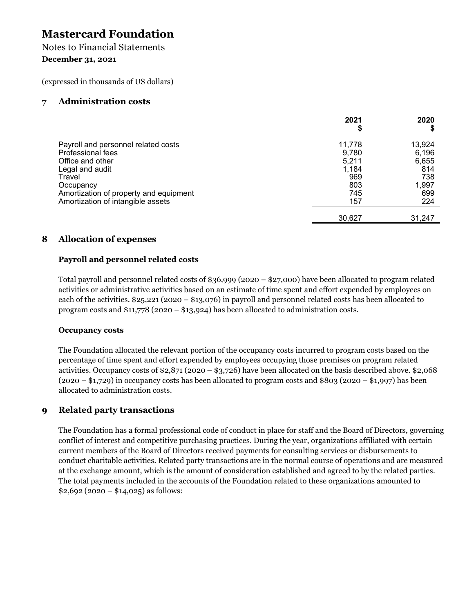### December 31, 2021

| <b>Notes to Financial Statements</b>                                                                                                      |                                   |                                 |
|-------------------------------------------------------------------------------------------------------------------------------------------|-----------------------------------|---------------------------------|
| <b>December 31, 2021</b>                                                                                                                  |                                   |                                 |
| (expressed in thousands of US dollars)                                                                                                    |                                   |                                 |
| <b>Administration costs</b><br>7                                                                                                          |                                   |                                 |
|                                                                                                                                           | 2021<br>\$                        | 2020<br>\$                      |
| Payroll and personnel related costs<br>Professional fees                                                                                  | 11,778<br>9,780<br>5,211          | 13,924<br>6,196<br>6,655<br>814 |
| Office and other<br>Legal and audit<br>Travel<br>Occupancy<br>Amortization of property and equipment<br>Amortization of intangible assets | 1,184<br>969<br>803<br>745<br>157 | 738<br>1,997<br>699<br>224      |

### Payroll and personnel related costs

Total payroll and personnel related costs of \$36,999 (2020 – \$27,000) have been allocated to program related activities or administrative activities based on an estimate of time spent and effort expended by employees on each of the activities. \$25,221 (2020 – \$13,076) in payroll and personnel related costs has been allocated to program costs and \$11,778 (2020 – \$13,924) has been allocated to administration costs.

### Occupancy costs

The Foundation allocated the relevant portion of the occupancy costs incurred to program costs based on the percentage of time spent and effort expended by employees occupying those premises on program related activities. Occupancy costs of \$2,871 (2020 – \$3,726) have been allocated on the basis described above. \$2,068  $(2020 - $1,729)$  in occupancy costs has been allocated to program costs and \$803 (2020 – \$1,997) has been allocated to administration costs. **8 Allocation of expenses**<br> **Payroll and personnel related costs**<br>
Total payroll and personnel related costs of \$36,999 (2020 – \$27,000) has<br>
activities or administrative activities based on an estimate of time spent an<br>

The Foundation has a formal professional code of conduct in place for staff and the Board of Directors, governing conflict of interest and competitive purchasing practices. During the year, organizations affiliated with certain current members of the Board of Directors received payments for consulting services or disbursements to conduct charitable activities. Related party transactions are in the normal course of operations and are measured at the exchange amount, which is the amount of consideration established and agreed to by the related parties. The total payments included in the accounts of the Foundation related to these organizations amounted to  $$2,692 (2020 - $14,025)$  as follows: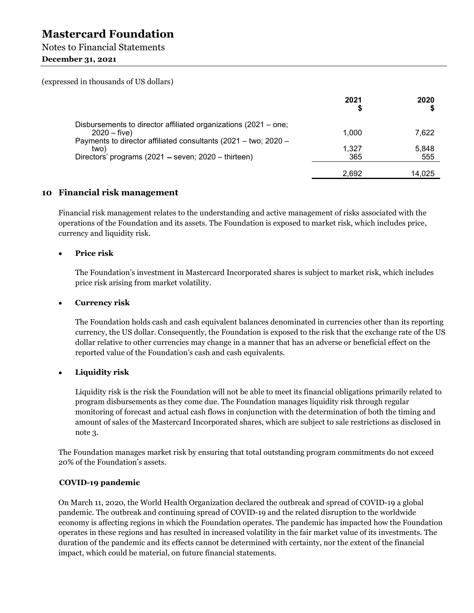### Notes to Financial Statements

### December 31, 2021

| <b>Mastercard Foundation</b>                                                                                                                                                                                                                              |              |              |
|-----------------------------------------------------------------------------------------------------------------------------------------------------------------------------------------------------------------------------------------------------------|--------------|--------------|
| <b>Notes to Financial Statements</b><br><b>December 31, 2021</b>                                                                                                                                                                                          |              |              |
| (expressed in thousands of US dollars)                                                                                                                                                                                                                    |              |              |
|                                                                                                                                                                                                                                                           | 2021         | 2020         |
| Disbursements to director affiliated organizations (2021 – one;<br>$2020 - five)$<br>Payments to director affiliated consultants (2021 - two; 2020 -                                                                                                      | 1,000        | 7,622        |
| two)<br>Directors' programs (2021 – seven; 2020 – thirteen)                                                                                                                                                                                               | 1,327<br>365 | 5,848<br>555 |
|                                                                                                                                                                                                                                                           | 2,692        | 14,025       |
| 10 Financial risk management                                                                                                                                                                                                                              |              |              |
| Financial risk management relates to the understanding and active management of risks associated with the<br>operations of the Foundation and its assets. The Foundation is exposed to market risk, which includes price,<br>currency and liquidity risk. |              |              |

### Price risk

The Foundation's investment in Mastercard Incorporated shares is subject to market risk, which includes price risk arising from market volatility.

#### Currency risk  $\bullet$

The Foundation holds cash and cash equivalent balances denominated in currencies other than its reporting currency, the US dollar. Consequently, the Foundation is exposed to the risk that the exchange rate of the US dollar relative to other currencies may change in a manner that has an adverse or beneficial effect on the reported value of the Foundation's cash and cash equivalents.

#### Liquidity risk  $\bullet$

Liquidity risk is the risk the Foundation will not be able to meet its financial obligations primarily related to program disbursements as they come due. The Foundation manages liquidity risk through regular monitoring of forecast and actual cash flows in conjunction with the determination of both the timing and amount of sales of the Mastercard Incorporated shares, which are subject to sale restrictions as disclosed in note 3.

The Foundation manages market risk by ensuring that total outstanding program commitments do not exceed 20% of the Foundation's assets.

### COVID-19 pandemic

On March 11, 2020, the World Health Organization declared the outbreak and spread of COVID-19 a global pandemic. The outbreak and continuing spread of COVID-19 and the related disruption to the worldwide economy is affecting regions in which the Foundation operates. The pandemic has impacted how the Foundation operates in these regions and has resulted in increased volatility in the fair market value of its investments. The duration of the pandemic and its effects cannot be determined with certainty, nor the extent of the financial impact, which could be material, on future financial statements.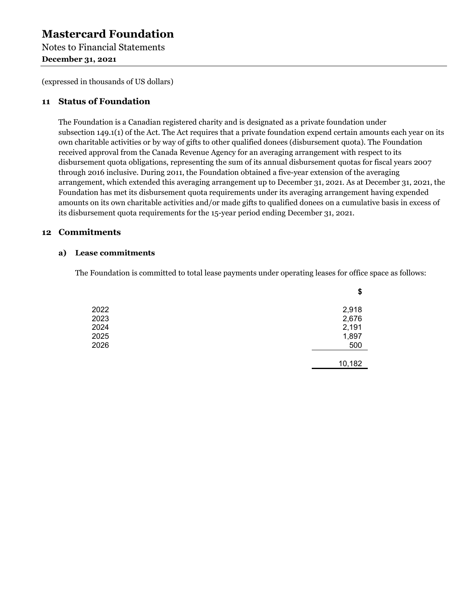Notes to Financial Statements December 31, 2021

(expressed in thousands of US dollars)

**Mastercard Foundation**<br>
Notes to Financial Statements<br>
December 31, 2021<br>
(expressed in thousands of US dollars)<br>
11 Status of Foundation<br>
The Foundation is a Canadian registered charity and is designated as a priv<br>
subse The Foundation is a Canadian registered charity and is designated as a private foundation under subsection 149.1(1) of the Act. The Act requires that a private foundation expend certain amounts each year on its own charitable activities or by way of gifts to other qualified donees (disbursement quota). The Foundation received approval from the Canada Revenue Agency for an averaging arrangement with respect to its disbursement quota obligations, representing the sum of its annual disbursement quotas for fiscal years 2007 through 2016 inclusive. During 2011, the Foundation obtained a five-year extension of the averaging arrangement, which extended this averaging arrangement up to December 31, 2021. As at December 31, 2021, the Foundation has met its disbursement quota requirements under its averaging arrangement having expended amounts on its own charitable activities and/or made gifts to qualified donees on a cumulative basis in excess of its disbursement quota requirements for the 15-year period ending December 31, 2021. **Mastercard Foundation**<br>
Notes to Financial Statements<br>
December 31, 2021<br>
(expressed in thousands of US dollars)<br>
11 Status of Foundation<br>
The Foundation is a Canadian registered charity and is designated as a private fo **Example 2018**<br> **Example 2018**<br> **Example 2018**<br> **Example 2018**<br> **Example 2018**<br> **Example 2018**<br> **Example 2019**<br> **Example 2019**<br> **Example 2019**<br> **Example 2019**<br> **Example 2019**<br> **Example 2019**<br> **Example 2019**<br> **Example 2019** 

The Foundation is committed to total lease payments under operating leases for office space as follows:

|      | \$     |  |
|------|--------|--|
| 2022 | 2,918  |  |
| 2023 | 2,676  |  |
| 2024 | 2,191  |  |
| 2025 | 1,897  |  |
| 2026 | 500    |  |
|      | 10,182 |  |